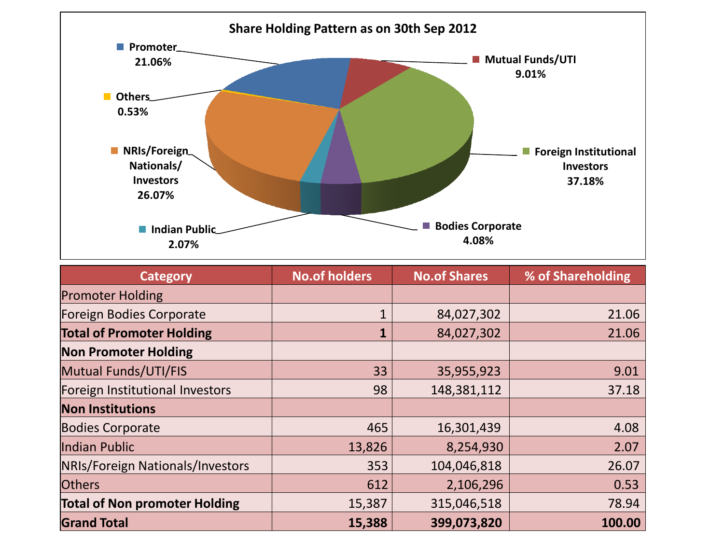

| <b>Category</b>                      | <b>No.of holders</b> | <b>No.of Shares</b> | % of Shareholding |  |
|--------------------------------------|----------------------|---------------------|-------------------|--|
| <b>Promoter Holding</b>              |                      |                     |                   |  |
| <b>Foreign Bodies Corporate</b>      |                      | 84,027,302          | 21.06             |  |
| <b>Total of Promoter Holding</b>     |                      | 84,027,302          | 21.06             |  |
| <b>Non Promoter Holding</b>          |                      |                     |                   |  |
| Mutual Funds/UTI/FIS                 | 33                   | 35,955,923          | 9.01              |  |
| Foreign Institutional Investors      | 98                   | 148,381,112         | 37.18             |  |
| <b>Non Institutions</b>              |                      |                     |                   |  |
| <b>Bodies Corporate</b>              | 465                  | 16,301,439          | 4.08              |  |
| Indian Public                        | 13,826               | 8,254,930           | 2.07              |  |
| NRIs/Foreign Nationals/Investors     | 353                  | 104,046,818         | 26.07             |  |
| <b>Others</b>                        | 612                  | 2,106,296           | 0.53              |  |
| <b>Total of Non promoter Holding</b> | 15,387               | 315,046,518         | 78.94             |  |
| <b>Grand Total</b>                   | 15,388               | 399,073,820         | 100.00            |  |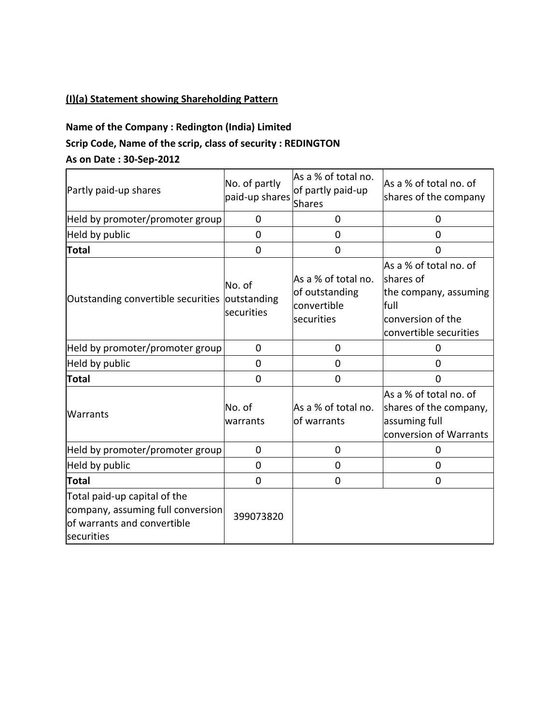### **(I)(a) Statement showing Shareholding Pattern**

# **Name of the Company : Redington (India) Limited Scrip Code, Name of the scrip, class of security : REDINGTON**

#### **As on Date : 30-Sep-2012**

| Partly paid-up shares                                                                                          | No. of partly<br>paid-up shares     | As a % of total no.<br>of partly paid-up<br>Shares                 | As a % of total no. of<br>shares of the company                                                                     |
|----------------------------------------------------------------------------------------------------------------|-------------------------------------|--------------------------------------------------------------------|---------------------------------------------------------------------------------------------------------------------|
| Held by promoter/promoter group                                                                                | 0                                   | 0                                                                  | 0                                                                                                                   |
| Held by public                                                                                                 | $\overline{0}$                      | 0                                                                  | 0                                                                                                                   |
| <b>Total</b>                                                                                                   | $\mathbf 0$                         | $\overline{0}$                                                     | 0                                                                                                                   |
| Outstanding convertible securities                                                                             | No. of<br>outstanding<br>securities | As a % of total no.<br>of outstanding<br>convertible<br>securities | As a % of total no. of<br>shares of<br>the company, assuming<br>full<br>conversion of the<br>convertible securities |
| Held by promoter/promoter group                                                                                | 0                                   | 0                                                                  | Ω                                                                                                                   |
| Held by public                                                                                                 | 0                                   | 0                                                                  | 0                                                                                                                   |
| Total                                                                                                          | $\mathbf 0$                         | 0                                                                  | 0                                                                                                                   |
| Warrants                                                                                                       | No. of<br>warrants                  | As a % of total no.<br>of warrants                                 | As a % of total no. of<br>shares of the company,<br>assuming full<br>conversion of Warrants                         |
| Held by promoter/promoter group                                                                                | 0                                   | 0                                                                  | 0                                                                                                                   |
| Held by public                                                                                                 | 0                                   | 0                                                                  | 0                                                                                                                   |
| Total                                                                                                          | $\overline{0}$                      | $\mathbf 0$                                                        | $\overline{0}$                                                                                                      |
| Total paid-up capital of the<br>company, assuming full conversion<br>of warrants and convertible<br>securities | 399073820                           |                                                                    |                                                                                                                     |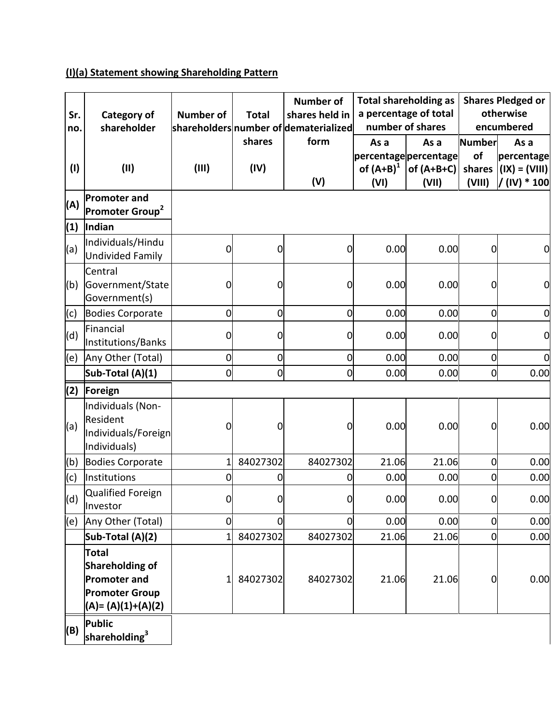# **(I)(a) Statement showing Shareholding Pattern**

|            |                                                                                                              |                  |                | <b>Number of</b>                                        |                      | <b>Total shareholding as</b>              |                | <b>Shares Pledged or</b> |
|------------|--------------------------------------------------------------------------------------------------------------|------------------|----------------|---------------------------------------------------------|----------------------|-------------------------------------------|----------------|--------------------------|
| Sr.<br>no. | Category of<br>shareholder                                                                                   | <b>Number of</b> | <b>Total</b>   | shares held in<br>shareholders number of dematerialized |                      | a percentage of total<br>number of shares |                | otherwise<br>encumbered  |
|            |                                                                                                              |                  | shares         | form                                                    | As a                 | As a                                      | <b>Number</b>  | As a                     |
|            |                                                                                                              |                  |                |                                                         | percentagepercentage |                                           | of             | percentage               |
| (1)        | (II)                                                                                                         | (III)            | (IV)           |                                                         | of $(A+B)^1$         | of $(A+B+C)$                              | shares         | $(IX) = (VIII)$          |
|            |                                                                                                              |                  |                | (V)                                                     | (VI)                 | (VII)                                     | (VIII)         | / (IV) * 100             |
| (A)        | <b>Promoter and</b>                                                                                          |                  |                |                                                         |                      |                                           |                |                          |
|            | Promoter Group <sup>2</sup>                                                                                  |                  |                |                                                         |                      |                                           |                |                          |
| (1)        | Indian                                                                                                       |                  |                |                                                         |                      |                                           |                |                          |
| (a)        | Individuals/Hindu<br><b>Undivided Family</b>                                                                 | $\mathbf 0$      | 0              | $\overline{0}$                                          | 0.00                 | 0.00                                      | $\overline{0}$ | $\overline{0}$           |
|            | Central                                                                                                      |                  |                |                                                         |                      |                                           |                |                          |
| (b)        | Government/State<br>Government(s)                                                                            | 0                | 0              | 0                                                       | 0.00                 | 0.00                                      | 0              | $\overline{0}$           |
| (c)        | <b>Bodies Corporate</b>                                                                                      | $\mathbf 0$      | 0              | $\overline{0}$                                          | 0.00                 | 0.00                                      | $\mathbf 0$    | $\mathbf 0$              |
| (d)        | Financial<br>Institutions/Banks                                                                              | 0                | 0              | $\overline{0}$                                          | 0.00                 | 0.00                                      | $\overline{0}$ | $\overline{0}$           |
| (e)        | Any Other (Total)                                                                                            | $\mathbf 0$      | $\overline{0}$ | $\mathbf 0$                                             | 0.00                 | 0.00                                      | $\overline{0}$ | $\overline{0}$           |
|            | Sub-Total (A)(1)                                                                                             | $\mathbf 0$      | 0              | $\mathbf 0$                                             | 0.00                 | 0.00                                      | $\mathbf 0$    | 0.00                     |
| (2)        | Foreign                                                                                                      |                  |                |                                                         |                      |                                           |                |                          |
| (a)        | Individuals (Non-<br>Resident<br>Individuals/Foreign<br>Individuals)                                         | 0                | 0              | 0                                                       | 0.00                 | 0.00                                      | 0              | 0.00                     |
| (b)        | Bodies Corporate                                                                                             | $\mathbf{1}$     | 84027302       | 84027302                                                | 21.06                | 21.06                                     | $\mathbf 0$    | 0.00                     |
| (c)        | Institutions                                                                                                 | 0                | 0              | 0                                                       | 0.00                 | 0.00                                      | $\overline{0}$ | 0.00                     |
| (d)        | Qualified Foreign<br>Investor                                                                                | $\mathbf 0$      | $\overline{0}$ | $\mathbf 0$                                             | 0.00                 | 0.00                                      | $\overline{0}$ | 0.00                     |
| (e)        | Any Other (Total)                                                                                            | $\mathbf 0$      | $\overline{0}$ | $\overline{0}$                                          | 0.00                 | 0.00                                      | $\overline{0}$ | 0.00                     |
|            | Sub-Total (A)(2)                                                                                             | $\mathbf{1}$     | 84027302       | 84027302                                                | 21.06                | 21.06                                     | $\overline{0}$ | 0.00                     |
|            | <b>Total</b><br><b>Shareholding of</b><br><b>Promoter and</b><br><b>Promoter Group</b><br>(A)= (A)(1)+(A)(2) | 1                | 84027302       | 84027302                                                | 21.06                | 21.06                                     | 0              | 0.00                     |
| (B)        | <b>Public</b><br>shareholding <sup>3</sup>                                                                   |                  |                |                                                         |                      |                                           |                |                          |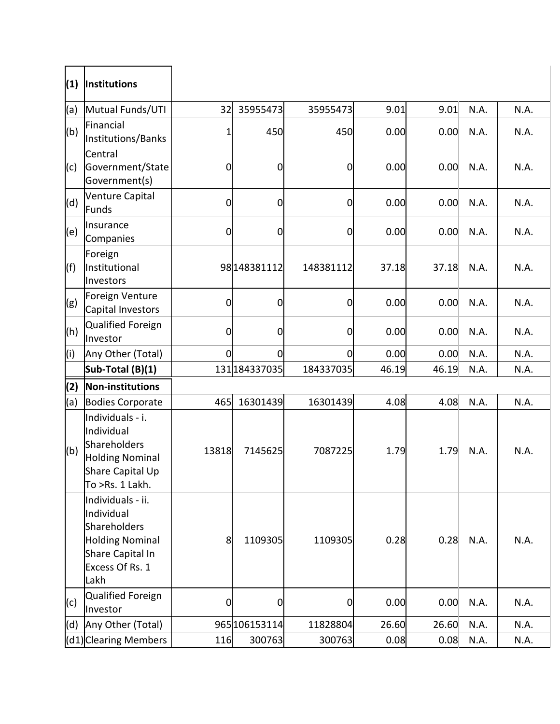| (1) | Institutions                                                                                                             |       |                 |                |       |       |      |      |
|-----|--------------------------------------------------------------------------------------------------------------------------|-------|-----------------|----------------|-------|-------|------|------|
| (a) | Mutual Funds/UTI                                                                                                         | 32    | 35955473        | 35955473       | 9.01  | 9.01  | N.A. | N.A. |
| (b) | Financial<br>Institutions/Banks                                                                                          | 1     | 450             | 450            | 0.00  | 0.00  | N.A. | N.A. |
| (c) | Central<br>Government/State<br>Government(s)                                                                             | 0     | $\mathbf 0$     | $\mathbf 0$    | 0.00  | 0.00  | N.A. | N.A. |
| (d) | Venture Capital<br>Funds                                                                                                 | 0     | $\mathbf 0$     | 0              | 0.00  | 0.00  | N.A. | N.A. |
| (e) | Insurance<br>Companies                                                                                                   | 0     | $\mathbf 0$     | $\overline{0}$ | 0.00  | 0.00  | N.A. | N.A. |
| (f) | Foreign<br>Institutional<br>Investors                                                                                    |       | 98 148 38 1112  | 148381112      | 37.18 | 37.18 | N.A. | N.A. |
| (g) | Foreign Venture<br>Capital Investors                                                                                     | 0     | $\mathbf 0$     | $\mathbf 0$    | 0.00  | 0.00  | N.A. | N.A. |
| (h) | Qualified Foreign<br>Investor                                                                                            | 0     | $\mathbf 0$     | $\mathbf 0$    | 0.00  | 0.00  | N.A. | N.A. |
| (i) | Any Other (Total)                                                                                                        | 0     | $\mathbf 0$     | $\overline{0}$ | 0.00  | 0.00  | N.A. | N.A. |
|     | Sub-Total (B)(1)                                                                                                         |       | 131 1843 370 35 | 184337035      | 46.19 | 46.19 | N.A. | N.A. |
| (2) | Non-institutions                                                                                                         |       |                 |                |       |       |      |      |
| (a) | <b>Bodies Corporate</b>                                                                                                  | 465   | 16301439        | 16301439       | 4.08  | 4.08  | N.A. | N.A. |
| (b) | Individuals - i.<br>Individual<br>Shareholders<br><b>Holding Nominal</b><br>Share Capital Up<br>To >Rs. 1 Lakh.          | 13818 | 7145625         | 7087225        | 1.79  | 1.79  | N.A. | N.A. |
|     | Individuals - ii.<br>Individual<br>Shareholders<br><b>Holding Nominal</b><br>Share Capital In<br>Excess Of Rs. 1<br>Lakh | 8     | 1109305         | 1109305        | 0.28  | 0.28  | N.A. | N.A. |
| (c) | Qualified Foreign<br>Investor                                                                                            | 0     | 0               | 0              | 0.00  | 0.00  | N.A. | N.A. |
| (d) | Any Other (Total)                                                                                                        |       | 965 106153114   | 11828804       | 26.60 | 26.60 | N.A. | N.A. |
|     | (d1) Clearing Members                                                                                                    | 116   | 300763          | 300763         | 0.08  | 0.08  | N.A. | N.A. |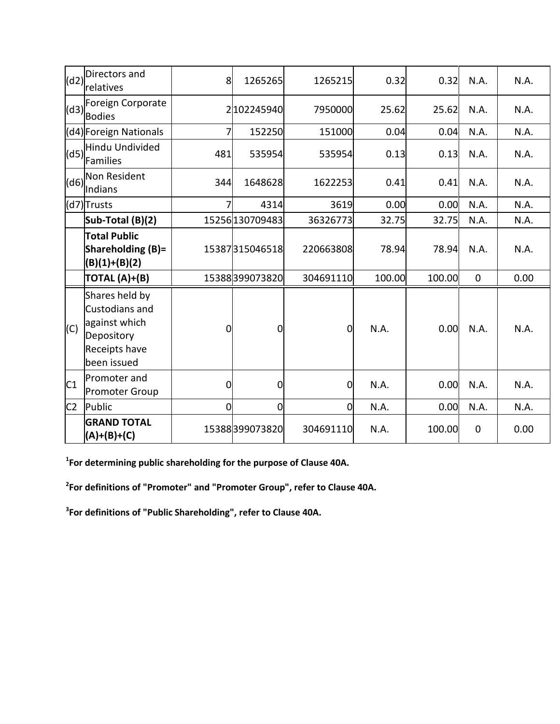| (d2)           | Directors and<br>relatives                                                                      | 8              | 1265265         | 1265215        | 0.32   | 0.32   | N.A.        | N.A. |
|----------------|-------------------------------------------------------------------------------------------------|----------------|-----------------|----------------|--------|--------|-------------|------|
| (d3)           | Foreign Corporate<br><b>Bodies</b>                                                              |                | 2 102245940     | 7950000        | 25.62  | 25.62  | N.A.        | N.A. |
|                | (d4) Foreign Nationals                                                                          | 7              | 152250          | 151000         | 0.04   | 0.04   | N.A.        | N.A. |
| (d5)           | Hindu Undivided<br>Families                                                                     | 481            | 535954          | 535954         | 0.13   | 0.13   | N.A.        | N.A. |
| (d6)           | Non Resident<br>Indians                                                                         | 344            | 1648628         | 1622253        | 0.41   | 0.41   | N.A.        | N.A. |
|                | (d7)Trusts                                                                                      | 7              | 4314            | 3619           | 0.00   | 0.00   | N.A.        | N.A. |
|                | Sub-Total (B)(2)                                                                                |                | 15256 130709483 | 36326773       | 32.75  | 32.75  | N.A.        | N.A. |
|                | <b>Total Public</b><br>Shareholding (B)=<br>$(B)(1)+(B)(2)$                                     |                | 15387315046518  | 220663808      | 78.94  | 78.94  | N.A.        | N.A. |
|                | TOTAL (A)+(B)                                                                                   |                | 15388399073820  | 304691110      | 100.00 | 100.00 | $\mathbf 0$ | 0.00 |
| (C)            | Shares held by<br>Custodians and<br>against which<br>Depository<br>Receipts have<br>been issued | $\overline{0}$ | 0               | $\mathbf 0$    | N.A.   | 0.00   | N.A.        | N.A. |
| C1             | Promoter and<br><b>Promoter Group</b>                                                           | $\mathbf 0$    | 0               | $\overline{0}$ | N.A.   | 0.00   | N.A.        | N.A. |
| C <sub>2</sub> | Public                                                                                          | $\mathbf 0$    | 0               | $\overline{0}$ | N.A.   | 0.00   | N.A.        | N.A. |
|                | <b>GRAND TOTAL</b><br>$(A)+(B)+(C)$                                                             |                | 15388399073820  | 304691110      | N.A.   | 100.00 | $\mathbf 0$ | 0.00 |

**1 For determining public shareholding for the purpose of Clause 40A.**

**2 For definitions of "Promoter" and "Promoter Group", refer to Clause 40A.**

**3 For definitions of "Public Shareholding", refer to Clause 40A.**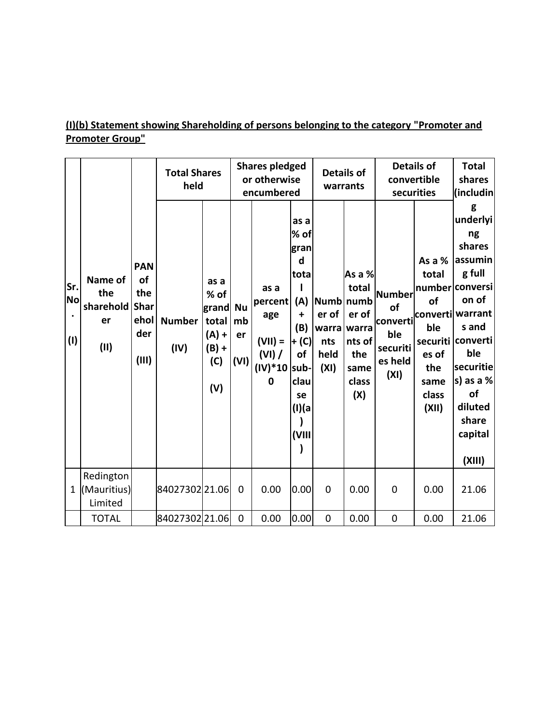# **(I)(b) Statement showing Shareholding of persons belonging to the category "Promoter and Promoter Group"**

|                                      |                                           |                                                                | <b>Total Shares</b><br>held |                                                                    |                               | <b>Shares pledged</b><br>or otherwise<br>encumbered                  |                                                                                                     |                              | <b>Details of</b><br>warrants                                                                 |                                                                | <b>Details of</b><br>convertible<br>securities<br>(includin            |                                                                                                                                                                                                                    |
|--------------------------------------|-------------------------------------------|----------------------------------------------------------------|-----------------------------|--------------------------------------------------------------------|-------------------------------|----------------------------------------------------------------------|-----------------------------------------------------------------------------------------------------|------------------------------|-----------------------------------------------------------------------------------------------|----------------------------------------------------------------|------------------------------------------------------------------------|--------------------------------------------------------------------------------------------------------------------------------------------------------------------------------------------------------------------|
| Sr.<br><b>No</b><br>$\bullet$<br>(1) | Name of<br>the<br>sharehold<br>er<br>(II) | <b>PAN</b><br>οf<br>the<br><b>Shar</b><br>ehol<br>der<br>(III) | <b>Number</b><br>(IV)       | as a<br>% of<br>grand<br>total<br>$(A) +$<br>$(B) +$<br>(C)<br>(V) | <b>Nu</b><br>mb<br>er<br>(VI) | as a<br>percent<br>age<br>$(VII) =$<br>(VI) /<br>$(IV)*10$ sub-<br>0 | as a<br>% of<br>gran<br>d<br>tota<br>(A)<br>+<br>(B)<br>+ (C)<br>of<br>clau<br>se<br>(I)(a<br>(VIII | er of<br>nts<br>held<br>(XI) | As a %<br>total<br>Numb numb<br>er of<br>warra warra<br>nts of<br>the<br>same<br>class<br>(X) | Number<br>of<br>converti<br>ble<br>securiti<br>es held<br>(XI) | As a %<br>total<br>of<br>ble<br>es of<br>the<br>same<br>class<br>(XII) | g<br>underlyi<br>ng<br>shares<br>assumin<br>g full<br>number conversi<br>on of<br>converti warrant<br>s and<br>securiti converti<br>ble<br>securitie<br>s) as a $%$<br>of<br>diluted<br>share<br>capital<br>(XIII) |
| $\mathbf{1}$                         | Redington<br>(Mauritius)<br>Limited       |                                                                | 84027302 21.06              |                                                                    | 0                             | 0.00                                                                 | 0.00                                                                                                | $\mathbf 0$                  | 0.00                                                                                          | $\mathbf 0$                                                    | 0.00                                                                   | 21.06                                                                                                                                                                                                              |
|                                      | <b>TOTAL</b>                              |                                                                | 84027302 21.06              |                                                                    | $\mathbf 0$                   | 0.00                                                                 | 0.00                                                                                                | $\mathbf 0$                  | 0.00                                                                                          | $\mathbf 0$                                                    | 0.00                                                                   | 21.06                                                                                                                                                                                                              |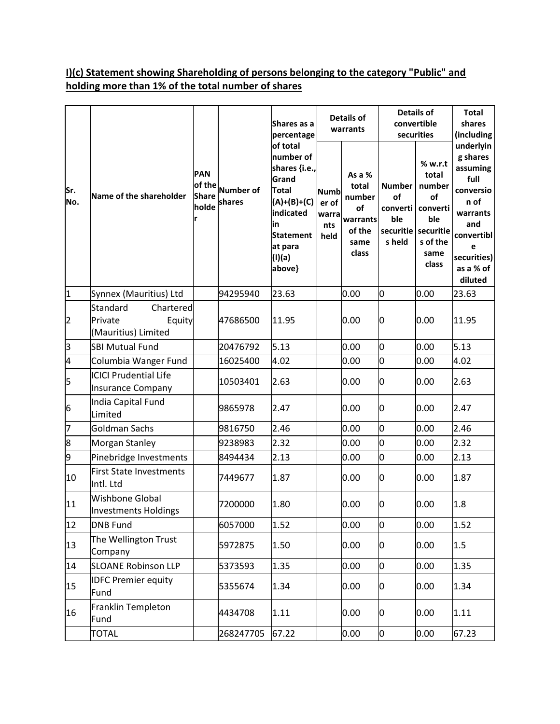## **I)(c) Statement showing Shareholding of persons belonging to the category "Public" and holding more than 1% of the total number of shares**

|                |                                                                   |                                               |                            | Shares as a<br>percentage                                                                                                                   | <b>Details of</b><br>warrants                |                                                                        | <b>Details of</b><br>convertible<br>securities                | <b>Total</b><br>shares<br>(including                                                          |                                                                                                                                             |
|----------------|-------------------------------------------------------------------|-----------------------------------------------|----------------------------|---------------------------------------------------------------------------------------------------------------------------------------------|----------------------------------------------|------------------------------------------------------------------------|---------------------------------------------------------------|-----------------------------------------------------------------------------------------------|---------------------------------------------------------------------------------------------------------------------------------------------|
| Sr.<br>No.     | Name of the shareholder                                           | <b>PAN</b><br>of the<br><b>Share</b><br>holde | <b>Number of</b><br>shares | number of<br>shares {i.e.,<br>Grand<br><b>Total</b><br>$(A)+(B)+(C)$<br>indicated<br>lin<br><b>Statement</b><br>at para<br>(I)(a)<br>above} | <b>Numb</b><br>er of<br>warra<br>nts<br>held | As a %<br>total<br>number<br>of<br>warrants<br>of the<br>same<br>class | <b>Number</b><br>of<br>converti<br>ble<br>securitie<br>s held | % w.r.t<br>total<br>number<br>of<br>converti<br>ble<br>securitie<br>s of the<br>same<br>class | underlyin<br>g shares<br>assuming<br>full<br>conversio<br>n of<br>warrants<br>and<br>convertibl<br>е<br>securities)<br>as a % of<br>diluted |
| $\vert$ 1      | Synnex (Mauritius) Ltd                                            |                                               | 94295940                   | 23.63                                                                                                                                       |                                              | 0.00                                                                   | 0                                                             | 0.00                                                                                          | 23.63                                                                                                                                       |
| $\overline{2}$ | Standard<br>Chartered<br>Private<br>Equity<br>(Mauritius) Limited |                                               | 47686500                   | 11.95                                                                                                                                       |                                              | 0.00                                                                   | 0                                                             | 0.00                                                                                          | 11.95                                                                                                                                       |
| 3              | <b>SBI Mutual Fund</b>                                            |                                               | 20476792                   | 5.13                                                                                                                                        |                                              | 0.00                                                                   | 0                                                             | 0.00                                                                                          | 5.13                                                                                                                                        |
| 4              | Columbia Wanger Fund                                              |                                               | 16025400                   | 4.02                                                                                                                                        |                                              | 0.00                                                                   | o                                                             | 0.00                                                                                          | 4.02                                                                                                                                        |
| 5              | <b>ICICI Prudential Life</b><br><b>Insurance Company</b>          |                                               | 10503401                   | 2.63                                                                                                                                        |                                              | 0.00                                                                   | 0                                                             | 0.00                                                                                          | 2.63                                                                                                                                        |
| 6              | India Capital Fund<br>Limited                                     |                                               | 9865978                    | 2.47                                                                                                                                        |                                              | 0.00                                                                   | 0                                                             | 0.00                                                                                          | 2.47                                                                                                                                        |
| 7              | <b>Goldman Sachs</b>                                              |                                               | 9816750                    | 2.46                                                                                                                                        |                                              | 0.00                                                                   | 0                                                             | 0.00                                                                                          | 2.46                                                                                                                                        |
| 8              | Morgan Stanley                                                    |                                               | 9238983                    | 2.32                                                                                                                                        |                                              | 0.00                                                                   | O                                                             | 0.00                                                                                          | 2.32                                                                                                                                        |
| 9              | Pinebridge Investments                                            |                                               | 8494434                    | 2.13                                                                                                                                        |                                              | 0.00                                                                   | 0                                                             | 0.00                                                                                          | 2.13                                                                                                                                        |
| 10             | First State Investments<br>Intl. Ltd                              |                                               | 7449677                    | 1.87                                                                                                                                        |                                              | 0.00                                                                   | 0                                                             | 0.00                                                                                          | 1.87                                                                                                                                        |
| 11             | <b>Wishbone Global</b><br>Investments Holdings                    |                                               | 7200000                    | 1.80                                                                                                                                        |                                              | 0.00                                                                   | 0                                                             | 0.00                                                                                          | 1.8                                                                                                                                         |
| 12             | <b>DNB Fund</b>                                                   |                                               | 6057000                    | 1.52                                                                                                                                        |                                              | 0.00                                                                   | $\overline{0}$                                                | 0.00                                                                                          | 1.52                                                                                                                                        |
| 13             | The Wellington Trust<br>Company                                   |                                               | 5972875                    | 1.50                                                                                                                                        |                                              | 0.00                                                                   | 0                                                             | 0.00                                                                                          | 1.5                                                                                                                                         |
| 14             | <b>SLOANE Robinson LLP</b>                                        |                                               | 5373593                    | 1.35                                                                                                                                        |                                              | 0.00                                                                   | $\overline{0}$                                                | 0.00                                                                                          | 1.35                                                                                                                                        |
| 15             | <b>IDFC Premier equity</b><br>Fund                                |                                               | 5355674                    | 1.34                                                                                                                                        |                                              | 0.00                                                                   | 0                                                             | 0.00                                                                                          | 1.34                                                                                                                                        |
| 16             | Franklin Templeton<br>Fund                                        |                                               | 4434708                    | 1.11                                                                                                                                        |                                              | 0.00                                                                   | 0                                                             | 0.00                                                                                          | 1.11                                                                                                                                        |
|                | <b>TOTAL</b>                                                      |                                               | 268247705                  | 67.22                                                                                                                                       |                                              | 0.00                                                                   | 0                                                             | 0.00                                                                                          | 67.23                                                                                                                                       |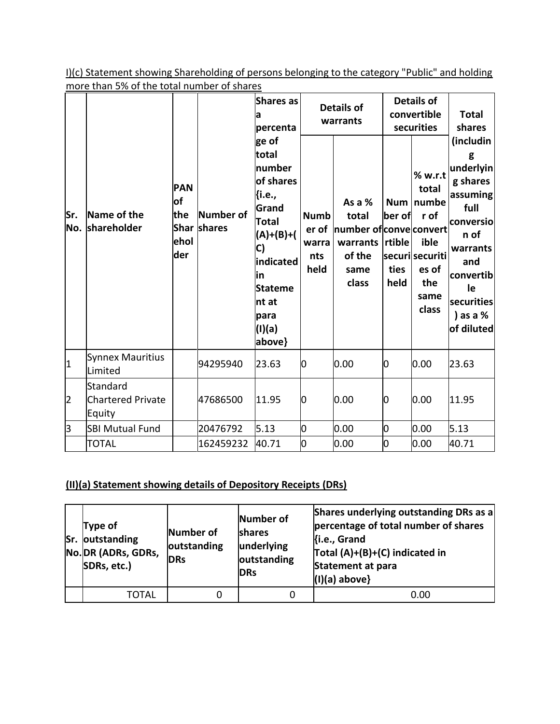I)(c) Statement showing Shareholding of persons belonging to the category "Public" and holding more than 5% of the total number of shares

| Sr.<br>No.              | Name of the<br>shareholder                     | <b>PAN</b><br><b>of</b><br>the<br>ehol<br>der | Number of<br>Shar shares | Shares as<br>la<br>percenta<br>ge of<br>total<br>number<br>of shares<br>{i.e.,<br>Grand<br>Total<br>(A)+(B)+(<br>C)<br>indicated<br>lin<br><b>Stateme</b><br>nt at<br>para<br>(I)(a)<br>above} | <b>Numb</b><br>er of<br>warra<br>nts<br>held | <b>Details of</b><br>warrants<br>As a %<br>total<br>number of convectonvert<br>warrants<br>of the<br>same<br>class | <b>Num</b><br>ber of<br>rtible<br>ties<br>held | <b>Details of</b><br>convertible<br>securities<br>% w.r.t<br>total<br>numbe<br>r of<br>ible<br>securisecuriti<br>es of<br>the<br>same<br>class | <b>Total</b><br>shares<br>(includin<br>g<br>underlyin<br>g shares<br>assuming<br>full<br>conversio<br>n of<br>warrants<br>and<br>convertib<br>le<br>securities<br>) as a $%$<br>of diluted |
|-------------------------|------------------------------------------------|-----------------------------------------------|--------------------------|------------------------------------------------------------------------------------------------------------------------------------------------------------------------------------------------|----------------------------------------------|--------------------------------------------------------------------------------------------------------------------|------------------------------------------------|------------------------------------------------------------------------------------------------------------------------------------------------|--------------------------------------------------------------------------------------------------------------------------------------------------------------------------------------------|
| $\overline{\mathbf{1}}$ | Synnex Mauritius<br>Limited                    |                                               | 94295940                 | 23.63                                                                                                                                                                                          | 0                                            | 0.00                                                                                                               | 0                                              | 0.00                                                                                                                                           | 23.63                                                                                                                                                                                      |
| $\overline{2}$          | Standard<br><b>Chartered Private</b><br>Equity |                                               | 47686500                 | 11.95                                                                                                                                                                                          | $\overline{0}$                               | 0.00                                                                                                               | 0                                              | 0.00                                                                                                                                           | 11.95                                                                                                                                                                                      |
| $\overline{\mathbf{3}}$ | <b>SBI Mutual Fund</b>                         |                                               | 20476792                 | 5.13                                                                                                                                                                                           | 0                                            | 0.00                                                                                                               | 0                                              | 0.00                                                                                                                                           | 5.13                                                                                                                                                                                       |
|                         | <b>TOTAL</b>                                   |                                               | 162459232                | 40.71                                                                                                                                                                                          | $\overline{0}$                               | 0.00                                                                                                               | O                                              | 0.00                                                                                                                                           | 40.71                                                                                                                                                                                      |

## **(II)(a) Statement showing details of Depository Receipts (DRs)**

| Type of<br>Sr. outstanding<br>No. DR (ADRs, GDRs,<br>SDRs, etc.) | Number of<br>outstanding<br><b>DRs</b> | Number of<br><b>shares</b><br>underlying<br>outstanding<br><b>DRs</b> | Shares underlying outstanding DRs as a<br>percentage of total number of shares<br>Ki.e., Grand<br>Total (A)+(B)+(C) indicated in<br>Statement at para<br>$(1)(a)$ above} |
|------------------------------------------------------------------|----------------------------------------|-----------------------------------------------------------------------|--------------------------------------------------------------------------------------------------------------------------------------------------------------------------|
| TOTAL                                                            |                                        |                                                                       | 0.00                                                                                                                                                                     |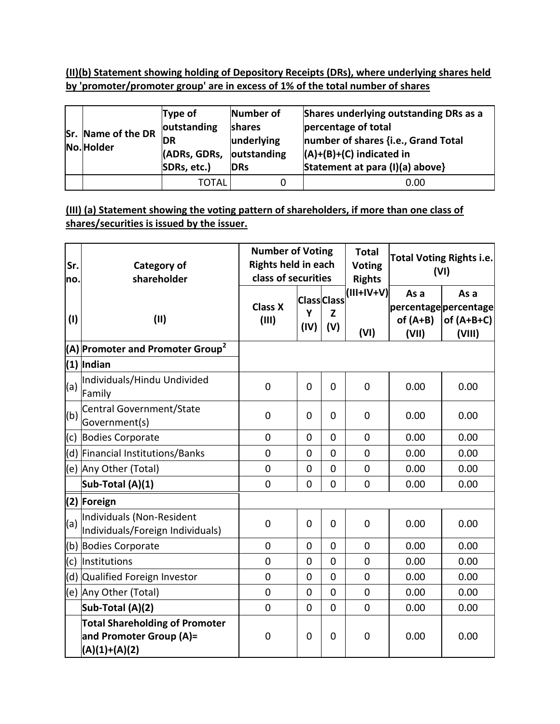**(II)(b) Statement showing holding of Depository Receipts (DRs), where underlying shares held by 'promoter/promoter group' are in excess of 1% of the total number of shares**

| <b>Sr. Name of the DR</b><br>No. Holder | Type of<br>outstanding<br><b>DR</b><br>(ADRs, GDRs,<br>SDRs, etc.) | Number of<br>shares<br>underlying<br>outstanding<br><b>IDRs</b> | Shares underlying outstanding DRs as a<br>percentage of total<br>number of shares {i.e., Grand Total<br>$(A)+(B)+(C)$ indicated in<br>Statement at para (I)(a) above} |
|-----------------------------------------|--------------------------------------------------------------------|-----------------------------------------------------------------|-----------------------------------------------------------------------------------------------------------------------------------------------------------------------|
|                                         | TOTAL                                                              |                                                                 | 0.00                                                                                                                                                                  |

#### **(III) (a) Statement showing the voting pattern of shareholders, if more than one class of shares/securities is issued by the issuer.**

| Sr.<br>no. | <b>Category of</b><br>shareholder                                                   | <b>Number of Voting</b><br><b>Rights held in each</b><br>class of securities |                |                                | <b>Total</b><br><b>Voting</b><br><b>Rights</b> | <b>Total Voting Rights i.e.</b><br>(VI) |                                                         |
|------------|-------------------------------------------------------------------------------------|------------------------------------------------------------------------------|----------------|--------------------------------|------------------------------------------------|-----------------------------------------|---------------------------------------------------------|
| (1)        | (II)                                                                                | <b>Class X</b><br>(III)                                                      | Υ<br>(IV)      | <b>Class</b> Class<br>Z<br>(V) | $(III+IV+V)$<br>(VI)                           | As a<br>of $(A+B)$<br>(VII)             | As a<br>percentage percentage<br>of $(A+B+C)$<br>(VIII) |
|            | $(A)$ Promoter and Promoter Group <sup>2</sup>                                      |                                                                              |                |                                |                                                |                                         |                                                         |
|            | $(1)$ Indian                                                                        |                                                                              |                |                                |                                                |                                         |                                                         |
| (a)        | Individuals/Hindu Undivided<br>Family                                               | $\overline{0}$                                                               | $\overline{0}$ | $\overline{0}$                 | $\overline{0}$                                 | 0.00                                    | 0.00                                                    |
| (b)        | Central Government/State<br>Government(s)                                           | 0                                                                            | 0              | $\overline{0}$                 | $\mathbf 0$                                    | 0.00                                    | 0.00                                                    |
| (c)        | <b>Bodies Corporate</b>                                                             | 0                                                                            | $\overline{0}$ | $\overline{0}$                 | $\overline{0}$                                 | 0.00                                    | 0.00                                                    |
|            | (d) Financial Institutions/Banks                                                    | $\overline{0}$                                                               | $\overline{0}$ | $\overline{0}$                 | $\overline{0}$                                 | 0.00                                    | 0.00                                                    |
|            | (e) Any Other (Total)                                                               | $\mathbf 0$                                                                  | $\mathbf 0$    | $\overline{0}$                 | $\overline{0}$                                 | 0.00                                    | 0.00                                                    |
|            | Sub-Total (A)(1)                                                                    | $\overline{0}$                                                               | $\mathbf 0$    | $\overline{0}$                 | $\mathbf 0$                                    | 0.00                                    | 0.00                                                    |
|            | (2) Foreign                                                                         |                                                                              |                |                                |                                                |                                         |                                                         |
| (a)        | Individuals (Non-Resident<br>Individuals/Foreign Individuals)                       | $\overline{0}$                                                               | $\overline{0}$ | $\overline{0}$                 | $\mathbf 0$                                    | 0.00                                    | 0.00                                                    |
|            | (b) Bodies Corporate                                                                | 0                                                                            | $\mathbf 0$    | $\mathbf 0$                    | $\Omega$                                       | 0.00                                    | 0.00                                                    |
|            | (c) Institutions                                                                    | 0                                                                            | $\mathbf 0$    | $\mathbf 0$                    | $\mathbf 0$                                    | 0.00                                    | 0.00                                                    |
|            | (d) Qualified Foreign Investor                                                      | 0                                                                            | 0              | $\overline{0}$                 | $\mathbf 0$                                    | 0.00                                    | 0.00                                                    |
|            | (e) Any Other (Total)                                                               | $\overline{0}$                                                               | $\mathbf 0$    | $\overline{0}$                 | $\mathbf 0$                                    | 0.00                                    | 0.00                                                    |
|            | Sub-Total (A)(2)                                                                    | $\overline{0}$                                                               | $\mathbf 0$    | $\overline{0}$                 | $\overline{0}$                                 | 0.00                                    | 0.00                                                    |
|            | <b>Total Shareholding of Promoter</b><br>and Promoter Group (A)=<br>$(A)(1)+(A)(2)$ | $\mathbf 0$                                                                  | $\mathbf 0$    | $\mathbf 0$                    | $\mathbf 0$                                    | 0.00                                    | 0.00                                                    |